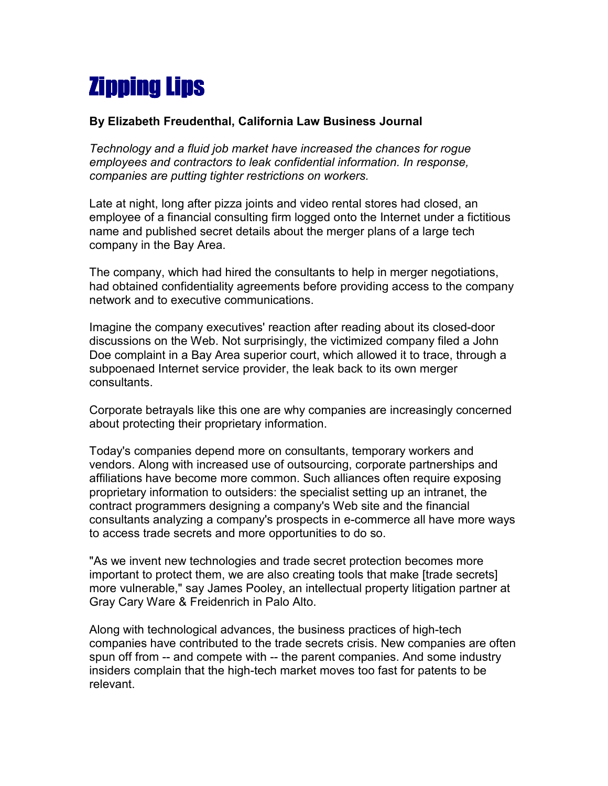## Zipping Lips

## **By Elizabeth Freudenthal, California Law Business Journal**

*Technology and a fluid job market have increased the chances for rogue employees and contractors to leak confidential information. In response, companies are putting tighter restrictions on workers.* 

Late at night, long after pizza joints and video rental stores had closed, an employee of a financial consulting firm logged onto the Internet under a fictitious name and published secret details about the merger plans of a large tech company in the Bay Area.

The company, which had hired the consultants to help in merger negotiations, had obtained confidentiality agreements before providing access to the company network and to executive communications.

Imagine the company executives' reaction after reading about its closed-door discussions on the Web. Not surprisingly, the victimized company filed a John Doe complaint in a Bay Area superior court, which allowed it to trace, through a subpoenaed Internet service provider, the leak back to its own merger consultants.

Corporate betrayals like this one are why companies are increasingly concerned about protecting their proprietary information.

Today's companies depend more on consultants, temporary workers and vendors. Along with increased use of outsourcing, corporate partnerships and affiliations have become more common. Such alliances often require exposing proprietary information to outsiders: the specialist setting up an intranet, the contract programmers designing a company's Web site and the financial consultants analyzing a company's prospects in e-commerce all have more ways to access trade secrets and more opportunities to do so.

"As we invent new technologies and trade secret protection becomes more important to protect them, we are also creating tools that make [trade secrets] more vulnerable," say James Pooley, an intellectual property litigation partner at Gray Cary Ware & Freidenrich in Palo Alto.

Along with technological advances, the business practices of high-tech companies have contributed to the trade secrets crisis. New companies are often spun off from -- and compete with -- the parent companies. And some industry insiders complain that the high-tech market moves too fast for patents to be relevant.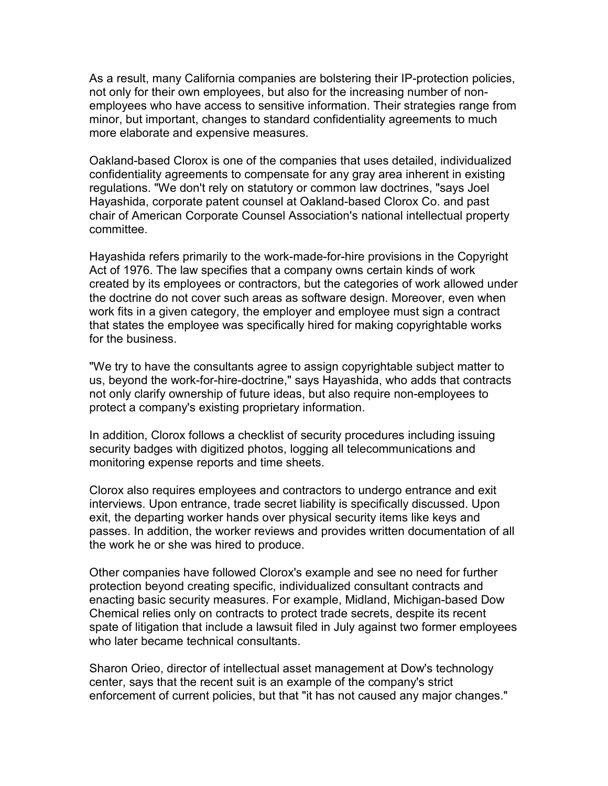As a result, many California companies are bolstering their IP-protection policies, not only for their own employees, but also for the increasing number of nonemployees who have access to sensitive information. Their strategies range from minor, but important, changes to standard confidentiality agreements to much more elaborate and expensive measures.

Oakland-based Clorox is one of the companies that uses detailed, individualized confidentiality agreements to compensate for any gray area inherent in existing regulations. "We don't rely on statutory or common law doctrines, "says Joel Hayashida, corporate patent counsel at Oakland-based Clorox Co. and past chair of American Corporate Counsel Association's national intellectual property committee.

Hayashida refers primarily to the work-made-for-hire provisions in the Copyright Act of 1976. The law specifies that a company owns certain kinds of work created by its employees or contractors, but the categories of work allowed under the doctrine do not cover such areas as software design. Moreover, even when work fits in a given category, the employer and employee must sign a contract that states the employee was specifically hired for making copyrightable works for the business.

"We try to have the consultants agree to assign copyrightable subject matter to us, beyond the work-for-hire-doctrine," says Hayashida, who adds that contracts not only clarify ownership of future ideas, but also require non-employees to protect a company's existing proprietary information.

In addition, Clorox follows a checklist of security procedures including issuing security badges with digitized photos, logging all telecommunications and monitoring expense reports and time sheets.

Clorox also requires employees and contractors to undergo entrance and exit interviews. Upon entrance, trade secret liability is specifically discussed. Upon exit, the departing worker hands over physical security items like keys and passes. In addition, the worker reviews and provides written documentation of all the work he or she was hired to produce.

Other companies have followed Clorox's example and see no need for further protection beyond creating specific, individualized consultant contracts and enacting basic security measures. For example, Midland, Michigan-based Dow Chemical relies only on contracts to protect trade secrets, despite its recent spate of litigation that include a lawsuit filed in July against two former employees who later became technical consultants.

Sharon Orieo, director of intellectual asset management at Dow's technology center, says that the recent suit is an example of the company's strict enforcement of current policies, but that "it has not caused any major changes."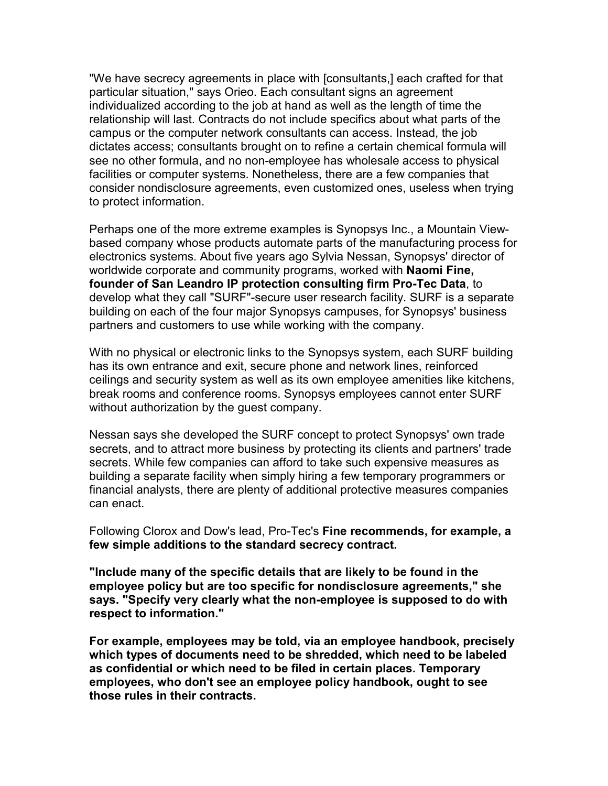"We have secrecy agreements in place with [consultants,] each crafted for that particular situation," says Orieo. Each consultant signs an agreement individualized according to the job at hand as well as the length of time the relationship will last. Contracts do not include specifics about what parts of the campus or the computer network consultants can access. Instead, the job dictates access; consultants brought on to refine a certain chemical formula will see no other formula, and no non-employee has wholesale access to physical facilities or computer systems. Nonetheless, there are a few companies that consider nondisclosure agreements, even customized ones, useless when trying to protect information.

Perhaps one of the more extreme examples is Synopsys Inc., a Mountain Viewbased company whose products automate parts of the manufacturing process for electronics systems. About five years ago Sylvia Nessan, Synopsys' director of worldwide corporate and community programs, worked with **Naomi Fine, founder of San Leandro IP protection consulting firm Pro-Tec Data**, to develop what they call "SURF"-secure user research facility. SURF is a separate building on each of the four major Synopsys campuses, for Synopsys' business partners and customers to use while working with the company.

With no physical or electronic links to the Synopsys system, each SURF building has its own entrance and exit, secure phone and network lines, reinforced ceilings and security system as well as its own employee amenities like kitchens, break rooms and conference rooms. Synopsys employees cannot enter SURF without authorization by the guest company.

Nessan says she developed the SURF concept to protect Synopsys' own trade secrets, and to attract more business by protecting its clients and partners' trade secrets. While few companies can afford to take such expensive measures as building a separate facility when simply hiring a few temporary programmers or financial analysts, there are plenty of additional protective measures companies can enact.

Following Clorox and Dow's lead, Pro-Tec's **Fine recommends, for example, a few simple additions to the standard secrecy contract.** 

**"Include many of the specific details that are likely to be found in the employee policy but are too specific for nondisclosure agreements," she says. "Specify very clearly what the non-employee is supposed to do with respect to information."** 

**For example, employees may be told, via an employee handbook, precisely which types of documents need to be shredded, which need to be labeled as confidential or which need to be filed in certain places. Temporary employees, who don't see an employee policy handbook, ought to see those rules in their contracts.**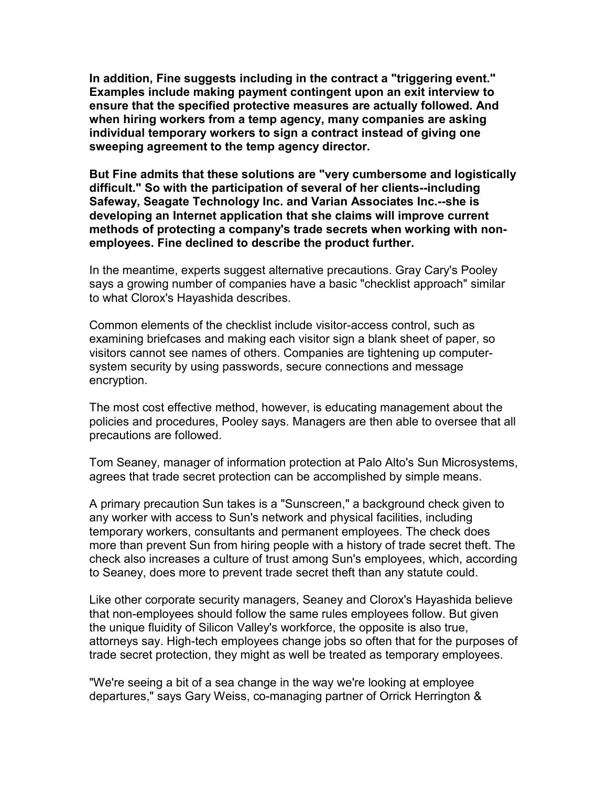**In addition, Fine suggests including in the contract a "triggering event." Examples include making payment contingent upon an exit interview to ensure that the specified protective measures are actually followed. And when hiring workers from a temp agency, many companies are asking individual temporary workers to sign a contract instead of giving one sweeping agreement to the temp agency director.** 

**But Fine admits that these solutions are "very cumbersome and logistically difficult." So with the participation of several of her clients--including Safeway, Seagate Technology Inc. and Varian Associates Inc.--she is developing an Internet application that she claims will improve current methods of protecting a company's trade secrets when working with nonemployees. Fine declined to describe the product further.** 

In the meantime, experts suggest alternative precautions. Gray Cary's Pooley says a growing number of companies have a basic "checklist approach" similar to what Clorox's Hayashida describes.

Common elements of the checklist include visitor-access control, such as examining briefcases and making each visitor sign a blank sheet of paper, so visitors cannot see names of others. Companies are tightening up computersystem security by using passwords, secure connections and message encryption.

The most cost effective method, however, is educating management about the policies and procedures, Pooley says. Managers are then able to oversee that all precautions are followed.

Tom Seaney, manager of information protection at Palo Alto's Sun Microsystems, agrees that trade secret protection can be accomplished by simple means.

A primary precaution Sun takes is a "Sunscreen," a background check given to any worker with access to Sun's network and physical facilities, including temporary workers, consultants and permanent employees. The check does more than prevent Sun from hiring people with a history of trade secret theft. The check also increases a culture of trust among Sun's employees, which, according to Seaney, does more to prevent trade secret theft than any statute could.

Like other corporate security managers, Seaney and Clorox's Hayashida believe that non-employees should follow the same rules employees follow. But given the unique fluidity of Silicon Valley's workforce, the opposite is also true, attorneys say. High-tech employees change jobs so often that for the purposes of trade secret protection, they might as well be treated as temporary employees.

"We're seeing a bit of a sea change in the way we're looking at employee departures," says Gary Weiss, co-managing partner of Orrick Herrington &